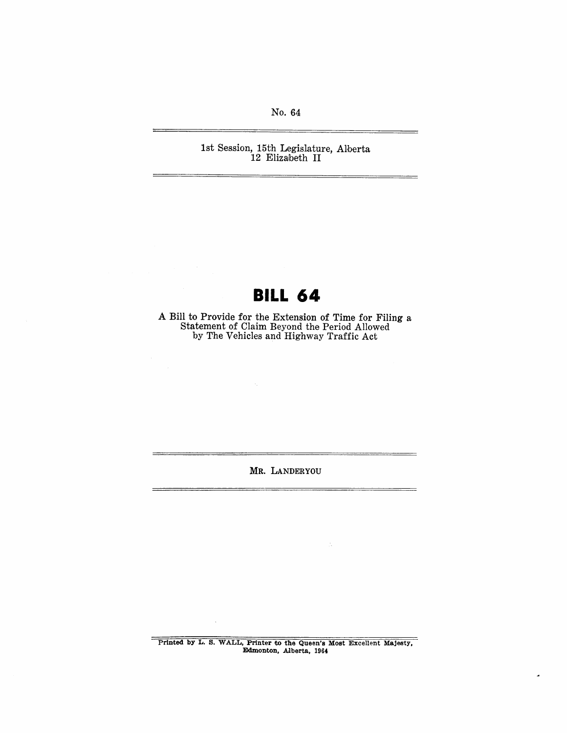No. 64

1st Session, 15th Legislature, Alberta 12 Elizabeth II

## **BILL 64**

A Bill to Provide for the Extension of Time for Filing a statement of Claim Beyond the Period Allowed by The Vehicles and Highway Traffic Act

MR. LANDERYOU

Printed by L. S. WALL, Printer to the Queen's Most Excellent Majesty, Edmonton, Alberta, 1964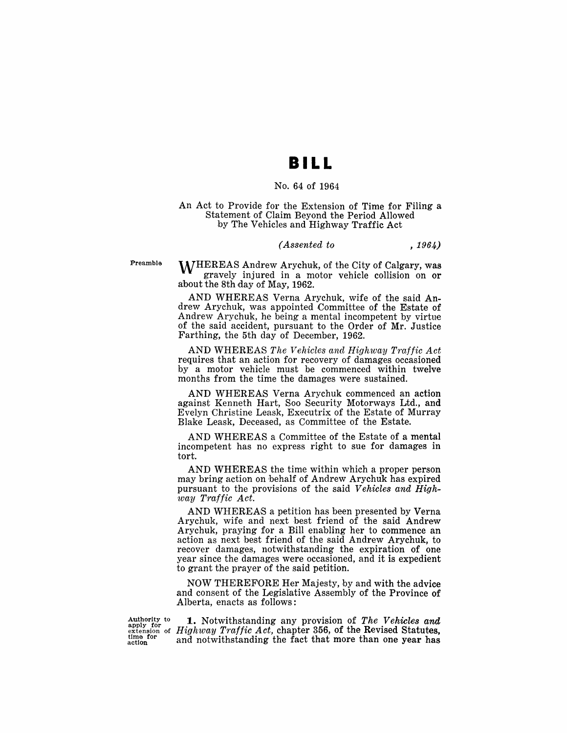## **II LL**

#### No. 64 of 1964

#### An Act to Provide for the Extension of Time for Filing a Statement of Claim Beyond the Period Allowed by The Vehicles and Highway Traffic Act

#### *(Assented to* , 1964)

Preamble

M/HEREAS Andrew Arychuk, of the City of Calgary, was gravely injured in a motor vehicle collision on or about the 8th day of May, 1962.

AND WHEREAS Verna Arychuk, wife of the said Andrew Arychuk, was appointed Committee of the Estate of Andrew Arychuk, he being a mental incompetent by virtue of the said accident, pursuant to the Order of Mr. Justice Farthing, the 5th day of December, 1962.

AND WHEREAS *The Vehicles and Highway Traffic Act*  requires that an action for recovery of damages occasioned by a motor vehicle must be commenced within twelve months from the time the damages were sustained.

AND WHEREAS Verna Arychuk commenced an action against Kenneth Hart, Soo Security Motorways Ltd., and Evelyn Christine Leask, Executrix of the Estate of Murray Blake Leask, Deceased, as Committee of the Estate.

AND WHEREAS a Committee of the Estate of a mental incompetent has no express right to sue for damages in tort.

AND WHEREAS the time within which a proper person may bring action on behalf of Andrew Arychuk has expired pursuant to the provisions of the said *Vehicles and Highway Traffic Act.* 

AND WHEREAS a petition has been presented by Verna Arychuk, wife and next best friend of the said Andrew Arychuk, praying for a Bill enabling her to commence an action as next best friend of the said Andrew Arychuk, to recover damages, notwithstanding the expiration of one year since the damages were occasioned, and it is expedient to grant the prayer of the said petition.

NOW THEREFORE Her Majesty, by and with the advice and consent of the Legislative Assembly of the Province of Alberta, enacts as follows:

Authority to apply for extension of time for action

**1.** Notwithstanding any provision of *The Vehicles and Highway Traffic Act,* chapter 356, of the Revised Statutes, and notwithstanding the fact that more than one year has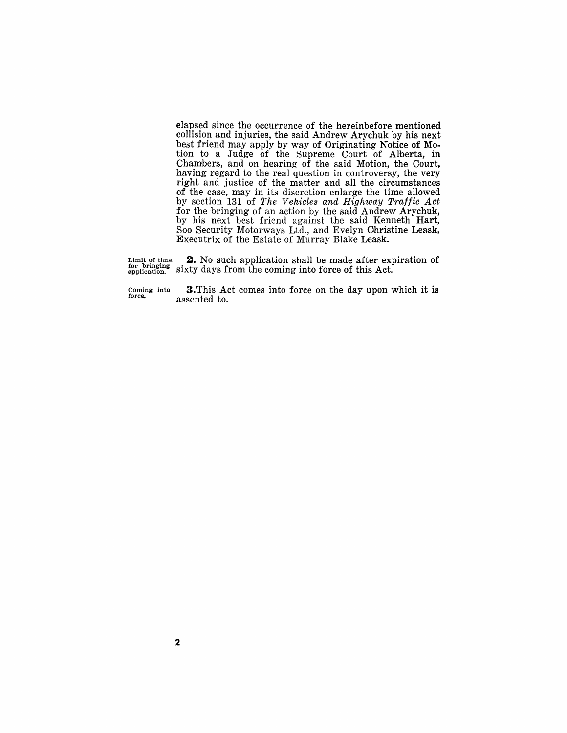elapsed since the occurrence of the hereinbefore mentioned collision and injuries, the said Andrew Arychuk by his next best friend may apply by way of Originating Notice of Motion to a Judge of the Supreme Court of Alberta, in Chambers, and on hearing of the said Motion, the Court, having regard to the real question in controversy, the very right and justice of the matter and all the circumstances of the case, may in its discretion enlarge the time allowed by section 131 of *The Vehicles and Highway Traffic Act*  for the bringing of an action by the said Andrew Arychuk, by his next best friend against the said Kenneth Hart, Soo Security Motorways Ltd., and Evelyn Christine Leask, Executrix of the Estate of Murray Blake Leask.

Limit of time for bringing sixty days from the coming into force of this Act. **2.** No such application shall be made after expiration of

Coming into<br>forc**e.** 

3. This Act comes into force on the day upon which it is assented to.